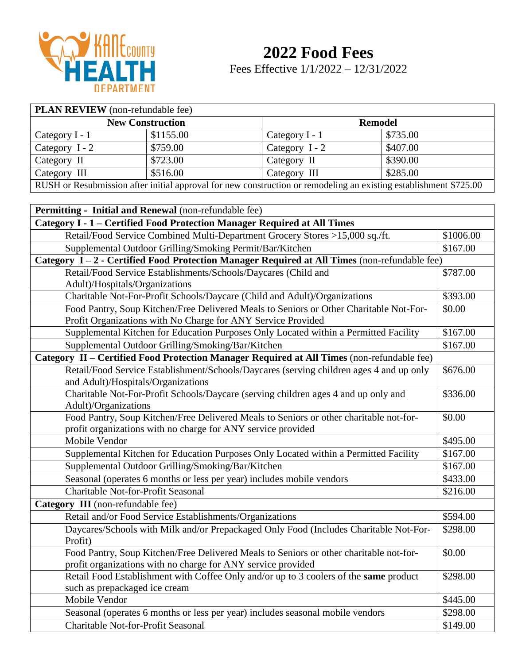

## **2022 Food Fees**

Fees Effective 1/1/2022 – 12/31/2022

| <b>PLAN REVIEW</b> (non-refundable fee)                                                                                       |                                                              |                                                                                                                   |           |                      |  |
|-------------------------------------------------------------------------------------------------------------------------------|--------------------------------------------------------------|-------------------------------------------------------------------------------------------------------------------|-----------|----------------------|--|
| <b>New Construction</b><br><b>Remodel</b>                                                                                     |                                                              |                                                                                                                   |           |                      |  |
| Category I - 1                                                                                                                | \$1155.00                                                    | Category I - 1                                                                                                    | \$735.00  |                      |  |
| Category I - 2                                                                                                                | \$759.00                                                     | Category I - 2                                                                                                    | \$407.00  |                      |  |
| Category II                                                                                                                   | \$723.00                                                     | Category II                                                                                                       | \$390.00  |                      |  |
| Category III                                                                                                                  | \$516.00                                                     | Category III<br>\$285.00                                                                                          |           |                      |  |
|                                                                                                                               |                                                              | RUSH or Resubmission after initial approval for new construction or remodeling an existing establishment \$725.00 |           |                      |  |
|                                                                                                                               |                                                              |                                                                                                                   |           |                      |  |
|                                                                                                                               | Permitting - Initial and Renewal (non-refundable fee)        |                                                                                                                   |           |                      |  |
|                                                                                                                               |                                                              | Category I - 1 - Certified Food Protection Manager Required at All Times                                          |           |                      |  |
| Retail/Food Service Combined Multi-Department Grocery Stores >15,000 sq./ft.                                                  |                                                              |                                                                                                                   | \$1006.00 |                      |  |
| Supplemental Outdoor Grilling/Smoking Permit/Bar/Kitchen                                                                      |                                                              |                                                                                                                   |           | \$167.00             |  |
| Category I-2 - Certified Food Protection Manager Required at All Times (non-refundable fee)                                   |                                                              |                                                                                                                   |           |                      |  |
|                                                                                                                               |                                                              | Retail/Food Service Establishments/Schools/Daycares (Child and                                                    |           | \$787.00             |  |
| Adult)/Hospitals/Organizations                                                                                                |                                                              |                                                                                                                   |           |                      |  |
| Charitable Not-For-Profit Schools/Daycare (Child and Adult)/Organizations                                                     |                                                              |                                                                                                                   |           | \$393.00             |  |
| Food Pantry, Soup Kitchen/Free Delivered Meals to Seniors or Other Charitable Not-For-                                        |                                                              |                                                                                                                   |           | \$0.00               |  |
|                                                                                                                               | Profit Organizations with No Charge for ANY Service Provided |                                                                                                                   |           |                      |  |
| Supplemental Kitchen for Education Purposes Only Located within a Permitted Facility                                          |                                                              |                                                                                                                   |           | \$167.00<br>\$167.00 |  |
| Supplemental Outdoor Grilling/Smoking/Bar/Kitchen                                                                             |                                                              |                                                                                                                   |           |                      |  |
| Category II - Certified Food Protection Manager Required at All Times (non-refundable fee)                                    |                                                              |                                                                                                                   |           |                      |  |
| Retail/Food Service Establishment/Schools/Daycares (serving children ages 4 and up only<br>and Adult)/Hospitals/Organizations |                                                              |                                                                                                                   |           | \$676.00             |  |
| Charitable Not-For-Profit Schools/Daycare (serving children ages 4 and up only and                                            |                                                              |                                                                                                                   |           | \$336.00             |  |
| Adult)/Organizations<br>Food Pantry, Soup Kitchen/Free Delivered Meals to Seniors or other charitable not-for-                |                                                              |                                                                                                                   |           |                      |  |
| profit organizations with no charge for ANY service provided                                                                  |                                                              |                                                                                                                   |           |                      |  |
| Mobile Vendor                                                                                                                 |                                                              |                                                                                                                   |           | \$495.00             |  |
| Supplemental Kitchen for Education Purposes Only Located within a Permitted Facility                                          |                                                              |                                                                                                                   |           | \$167.00             |  |
| Supplemental Outdoor Grilling/Smoking/Bar/Kitchen                                                                             |                                                              |                                                                                                                   |           | \$167.00             |  |
| Seasonal (operates 6 months or less per year) includes mobile vendors                                                         |                                                              |                                                                                                                   |           | \$433.00             |  |
| Charitable Not-for-Profit Seasonal                                                                                            |                                                              |                                                                                                                   |           | \$216.00             |  |
| Category III (non-refundable fee)                                                                                             |                                                              |                                                                                                                   |           |                      |  |
| Retail and/or Food Service Establishments/Organizations                                                                       |                                                              |                                                                                                                   |           | \$594.00             |  |
| Daycares/Schools with Milk and/or Prepackaged Only Food (Includes Charitable Not-For-                                         |                                                              |                                                                                                                   | \$298.00  |                      |  |
| Profit)                                                                                                                       |                                                              |                                                                                                                   |           |                      |  |
| Food Pantry, Soup Kitchen/Free Delivered Meals to Seniors or other charitable not-for-                                        |                                                              |                                                                                                                   |           | \$0.00               |  |
| profit organizations with no charge for ANY service provided                                                                  |                                                              |                                                                                                                   |           |                      |  |
| Retail Food Establishment with Coffee Only and/or up to 3 coolers of the same product                                         |                                                              |                                                                                                                   |           | \$298.00             |  |
| such as prepackaged ice cream                                                                                                 |                                                              |                                                                                                                   |           |                      |  |
| Mobile Vendor                                                                                                                 |                                                              |                                                                                                                   |           | \$445.00             |  |
| Seasonal (operates 6 months or less per year) includes seasonal mobile vendors                                                |                                                              |                                                                                                                   |           | \$298.00             |  |
| Charitable Not-for-Profit Seasonal                                                                                            |                                                              |                                                                                                                   |           | \$149.00             |  |